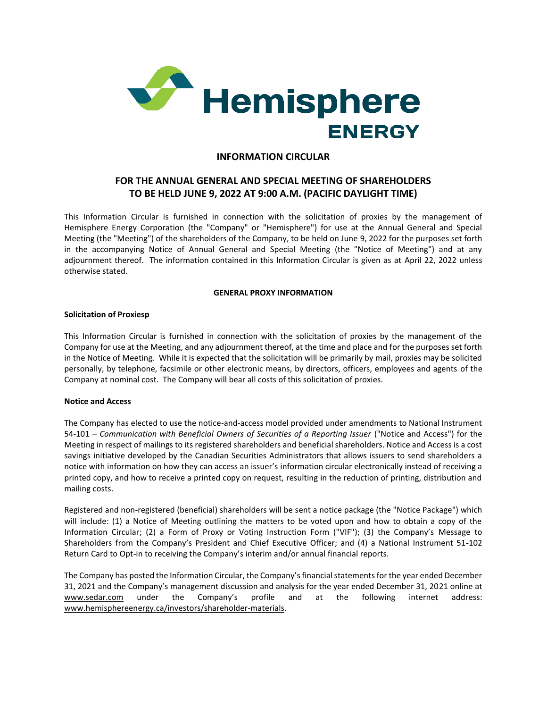

## **INFORMATION CIRCULAR**

# **FOR THE ANNUAL GENERAL AND SPECIAL MEETING OF SHAREHOLDERS TO BE HELD JUNE 9, 2022 AT 9:00 A.M. (PACIFIC DAYLIGHT TIME)**

This Information Circular is furnished in connection with the solicitation of proxies by the management of Hemisphere Energy Corporation (the "Company" or "Hemisphere") for use at the Annual General and Special Meeting (the "Meeting") of the shareholders of the Company, to be held on June 9, 2022 for the purposes set forth in the accompanying Notice of Annual General and Special Meeting (the "Notice of Meeting") and at any adjournment thereof. The information contained in this Information Circular is given as at April 22, 2022 unless otherwise stated.

## **GENERAL PROXY INFORMATION**

## **Solicitation of Proxiesp**

This Information Circular is furnished in connection with the solicitation of proxies by the management of the Company for use at the Meeting, and any adjournment thereof, at the time and place and for the purposes set forth in the Notice of Meeting. While it is expected that the solicitation will be primarily by mail, proxies may be solicited personally, by telephone, facsimile or other electronic means, by directors, officers, employees and agents of the Company at nominal cost. The Company will bear all costs of this solicitation of proxies.

## **Notice and Access**

The Company has elected to use the notice-and-access model provided under amendments to National Instrument 54-101 – *Communication with Beneficial Owners of Securities of a Reporting Issuer* ("Notice and Access") for the Meeting in respect of mailings to its registered shareholders and beneficial shareholders. Notice and Access is a cost savings initiative developed by the Canadian Securities Administrators that allows issuers to send shareholders a notice with information on how they can access an issuer's information circular electronically instead of receiving a printed copy, and how to receive a printed copy on request, resulting in the reduction of printing, distribution and mailing costs.

Registered and non-registered (beneficial) shareholders will be sent a notice package (the "Notice Package") which will include: (1) a Notice of Meeting outlining the matters to be voted upon and how to obtain a copy of the Information Circular; (2) a Form of Proxy or Voting Instruction Form ("VIF"); (3) the Company's Message to Shareholders from the Company's President and Chief Executive Officer; and (4) a National Instrument 51-102 Return Card to Opt-in to receiving the Company's interim and/or annual financial reports.

The Company has posted the Information Circular, the Company's financial statements for the year ended December 31, 2021 and the Company's management discussion and analysis for the year ended December 31, 2021 online at [www.sedar.com](http://www.sedar.com/) under the Company's profile and at the following internet address: [www.hemisphereenergy.ca/](http://www.hemisphereenergy.ca/)investors/shareholder-materials.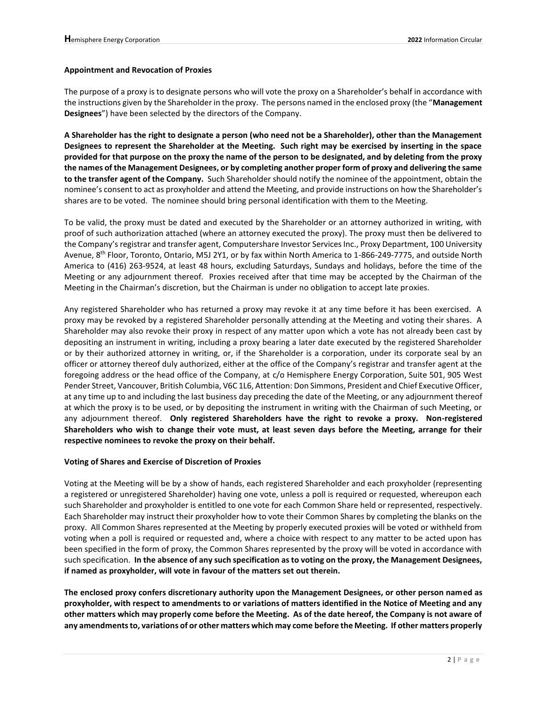### **Appointment and Revocation of Proxies**

The purpose of a proxy is to designate persons who will vote the proxy on a Shareholder's behalf in accordance with the instructions given by the Shareholder in the proxy. The persons named in the enclosed proxy (the "**Management Designees**") have been selected by the directors of the Company.

**A Shareholder has the right to designate a person (who need not be a Shareholder), other than the Management Designees to represent the Shareholder at the Meeting. Such right may be exercised by inserting in the space provided for that purpose on the proxy the name of the person to be designated, and by deleting from the proxy the names of the Management Designees, or by completing another proper form of proxy and delivering the same to the transfer agent of the Company.** Such Shareholder should notify the nominee of the appointment, obtain the nominee's consent to act as proxyholder and attend the Meeting, and provide instructions on how the Shareholder's shares are to be voted. The nominee should bring personal identification with them to the Meeting.

To be valid, the proxy must be dated and executed by the Shareholder or an attorney authorized in writing, with proof of such authorization attached (where an attorney executed the proxy). The proxy must then be delivered to the Company's registrar and transfer agent, Computershare Investor Services Inc., Proxy Department, 100 University Avenue, 8<sup>th</sup> Floor, Toronto, Ontario, M5J 2Y1, or by fax within North America to 1-866-249-7775, and outside North America to (416) 263-9524, at least 48 hours, excluding Saturdays, Sundays and holidays, before the time of the Meeting or any adjournment thereof. Proxies received after that time may be accepted by the Chairman of the Meeting in the Chairman's discretion, but the Chairman is under no obligation to accept late proxies.

Any registered Shareholder who has returned a proxy may revoke it at any time before it has been exercised. A proxy may be revoked by a registered Shareholder personally attending at the Meeting and voting their shares. A Shareholder may also revoke their proxy in respect of any matter upon which a vote has not already been cast by depositing an instrument in writing, including a proxy bearing a later date executed by the registered Shareholder or by their authorized attorney in writing, or, if the Shareholder is a corporation, under its corporate seal by an officer or attorney thereof duly authorized, either at the office of the Company's registrar and transfer agent at the foregoing address or the head office of the Company, at c/o Hemisphere Energy Corporation, Suite 501, 905 West Pender Street, Vancouver, British Columbia, V6C 1L6, Attention: Don Simmons, President and Chief Executive Officer, at any time up to and including the last business day preceding the date of the Meeting, or any adjournment thereof at which the proxy is to be used, or by depositing the instrument in writing with the Chairman of such Meeting, or any adjournment thereof. **Only registered Shareholders have the right to revoke a proxy. Non-registered Shareholders who wish to change their vote must, at least seven days before the Meeting, arrange for their respective nominees to revoke the proxy on their behalf.**

#### **Voting of Shares and Exercise of Discretion of Proxies**

Voting at the Meeting will be by a show of hands, each registered Shareholder and each proxyholder (representing a registered or unregistered Shareholder) having one vote, unless a poll is required or requested, whereupon each such Shareholder and proxyholder is entitled to one vote for each Common Share held or represented, respectively. Each Shareholder may instruct their proxyholder how to vote their Common Shares by completing the blanks on the proxy. All Common Shares represented at the Meeting by properly executed proxies will be voted or withheld from voting when a poll is required or requested and, where a choice with respect to any matter to be acted upon has been specified in the form of proxy, the Common Shares represented by the proxy will be voted in accordance with such specification. **In the absence of any such specification as to voting on the proxy, the Management Designees, if named as proxyholder, will vote in favour of the matters set out therein.**

**The enclosed proxy confers discretionary authority upon the Management Designees, or other person named as proxyholder, with respect to amendments to or variations of matters identified in the Notice of Meeting and any other matters which may properly come before the Meeting. As of the date hereof, the Company is not aware of any amendments to, variations of or other matters which may come before the Meeting. If other matters properly**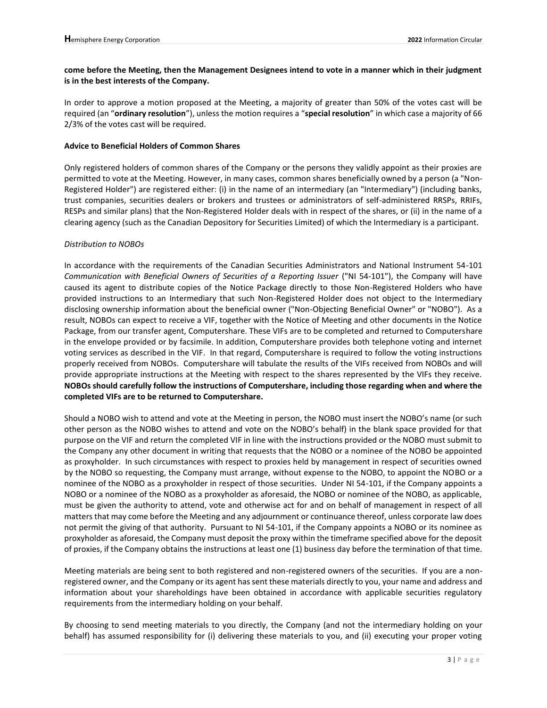## **come before the Meeting, then the Management Designees intend to vote in a manner which in their judgment is in the best interests of the Company.**

In order to approve a motion proposed at the Meeting, a majority of greater than 50% of the votes cast will be required (an "**ordinary resolution**"), unless the motion requires a "**special resolution**" in which case a majority of 66 2/3% of the votes cast will be required.

### **Advice to Beneficial Holders of Common Shares**

Only registered holders of common shares of the Company or the persons they validly appoint as their proxies are permitted to vote at the Meeting. However, in many cases, common shares beneficially owned by a person (a "Non-Registered Holder") are registered either: (i) in the name of an intermediary (an "Intermediary") (including banks, trust companies, securities dealers or brokers and trustees or administrators of self-administered RRSPs, RRIFs, RESPs and similar plans) that the Non-Registered Holder deals with in respect of the shares, or (ii) in the name of a clearing agency (such as the Canadian Depository for Securities Limited) of which the Intermediary is a participant.

### *Distribution to NOBOs*

In accordance with the requirements of the Canadian Securities Administrators and National Instrument 54-101 *Communication with Beneficial Owners of Securities of a Reporting Issuer* ("NI 54-101"), the Company will have caused its agent to distribute copies of the Notice Package directly to those Non-Registered Holders who have provided instructions to an Intermediary that such Non-Registered Holder does not object to the Intermediary disclosing ownership information about the beneficial owner ("Non-Objecting Beneficial Owner" or "NOBO"). As a result, NOBOs can expect to receive a VIF, together with the Notice of Meeting and other documents in the Notice Package, from our transfer agent, Computershare. These VIFs are to be completed and returned to Computershare in the envelope provided or by facsimile. In addition, Computershare provides both telephone voting and internet voting services as described in the VIF. In that regard, Computershare is required to follow the voting instructions properly received from NOBOs. Computershare will tabulate the results of the VIFs received from NOBOs and will provide appropriate instructions at the Meeting with respect to the shares represented by the VIFs they receive. **NOBOs should carefully follow the instructions of Computershare, including those regarding when and where the completed VIFs are to be returned to Computershare.** 

Should a NOBO wish to attend and vote at the Meeting in person, the NOBO must insert the NOBO's name (or such other person as the NOBO wishes to attend and vote on the NOBO's behalf) in the blank space provided for that purpose on the VIF and return the completed VIF in line with the instructions provided or the NOBO must submit to the Company any other document in writing that requests that the NOBO or a nominee of the NOBO be appointed as proxyholder. In such circumstances with respect to proxies held by management in respect of securities owned by the NOBO so requesting, the Company must arrange, without expense to the NOBO, to appoint the NOBO or a nominee of the NOBO as a proxyholder in respect of those securities. Under NI 54-101, if the Company appoints a NOBO or a nominee of the NOBO as a proxyholder as aforesaid, the NOBO or nominee of the NOBO, as applicable, must be given the authority to attend, vote and otherwise act for and on behalf of management in respect of all matters that may come before the Meeting and any adjournment or continuance thereof, unless corporate law does not permit the giving of that authority. Pursuant to NI 54-101, if the Company appoints a NOBO or its nominee as proxyholder as aforesaid, the Company must deposit the proxy within the timeframe specified above for the deposit of proxies, if the Company obtains the instructions at least one (1) business day before the termination of that time.

Meeting materials are being sent to both registered and non-registered owners of the securities. If you are a nonregistered owner, and the Company or its agent has sent these materials directly to you, your name and address and information about your shareholdings have been obtained in accordance with applicable securities regulatory requirements from the intermediary holding on your behalf.

By choosing to send meeting materials to you directly, the Company (and not the intermediary holding on your behalf) has assumed responsibility for (i) delivering these materials to you, and (ii) executing your proper voting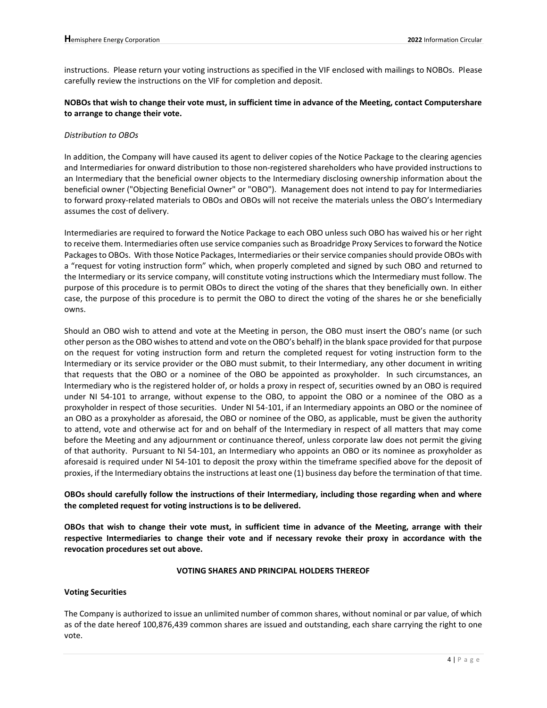instructions. Please return your voting instructions as specified in the VIF enclosed with mailings to NOBOs. Please carefully review the instructions on the VIF for completion and deposit.

## **NOBOs that wish to change their vote must, in sufficient time in advance of the Meeting, contact Computershare to arrange to change their vote.**

### *Distribution to OBOs*

In addition, the Company will have caused its agent to deliver copies of the Notice Package to the clearing agencies and Intermediaries for onward distribution to those non-registered shareholders who have provided instructions to an Intermediary that the beneficial owner objects to the Intermediary disclosing ownership information about the beneficial owner ("Objecting Beneficial Owner" or "OBO"). Management does not intend to pay for Intermediaries to forward proxy-related materials to OBOs and OBOs will not receive the materials unless the OBO's Intermediary assumes the cost of delivery.

Intermediaries are required to forward the Notice Package to each OBO unless such OBO has waived his or her right to receive them. Intermediaries often use service companies such as Broadridge Proxy Services to forward the Notice Packages to OBOs. With those Notice Packages, Intermediaries or their service companies should provide OBOs with a "request for voting instruction form" which, when properly completed and signed by such OBO and returned to the Intermediary or its service company, will constitute voting instructions which the Intermediary must follow. The purpose of this procedure is to permit OBOs to direct the voting of the shares that they beneficially own. In either case, the purpose of this procedure is to permit the OBO to direct the voting of the shares he or she beneficially owns.

Should an OBO wish to attend and vote at the Meeting in person, the OBO must insert the OBO's name (or such other person as the OBO wishes to attend and vote on the OBO's behalf) in the blank space provided for that purpose on the request for voting instruction form and return the completed request for voting instruction form to the Intermediary or its service provider or the OBO must submit, to their Intermediary, any other document in writing that requests that the OBO or a nominee of the OBO be appointed as proxyholder. In such circumstances, an Intermediary who is the registered holder of, or holds a proxy in respect of, securities owned by an OBO is required under NI 54-101 to arrange, without expense to the OBO, to appoint the OBO or a nominee of the OBO as a proxyholder in respect of those securities. Under NI 54-101, if an Intermediary appoints an OBO or the nominee of an OBO as a proxyholder as aforesaid, the OBO or nominee of the OBO, as applicable, must be given the authority to attend, vote and otherwise act for and on behalf of the Intermediary in respect of all matters that may come before the Meeting and any adjournment or continuance thereof, unless corporate law does not permit the giving of that authority. Pursuant to NI 54-101, an Intermediary who appoints an OBO or its nominee as proxyholder as aforesaid is required under NI 54-101 to deposit the proxy within the timeframe specified above for the deposit of proxies, if the Intermediary obtains the instructions at least one (1) business day before the termination of that time.

## **OBOs should carefully follow the instructions of their Intermediary, including those regarding when and where the completed request for voting instructions is to be delivered.**

**OBOs that wish to change their vote must, in sufficient time in advance of the Meeting, arrange with their respective Intermediaries to change their vote and if necessary revoke their proxy in accordance with the revocation procedures set out above.**

#### **VOTING SHARES AND PRINCIPAL HOLDERS THEREOF**

#### **Voting Securities**

The Company is authorized to issue an unlimited number of common shares, without nominal or par value, of which as of the date hereof 100,876,439 common shares are issued and outstanding, each share carrying the right to one vote.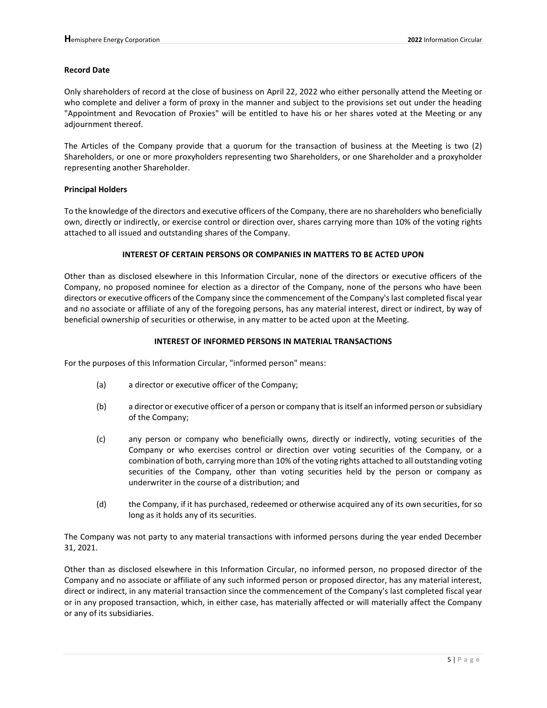#### **Record Date**

Only shareholders of record at the close of business on April 22, 2022 who either personally attend the Meeting or who complete and deliver a form of proxy in the manner and subject to the provisions set out under the heading "Appointment and Revocation of Proxies" will be entitled to have his or her shares voted at the Meeting or any adjournment thereof.

The Articles of the Company provide that a quorum for the transaction of business at the Meeting is two (2) Shareholders, or one or more proxyholders representing two Shareholders, or one Shareholder and a proxyholder representing another Shareholder.

#### **Principal Holders**

To the knowledge of the directors and executive officers of the Company, there are no shareholders who beneficially own, directly or indirectly, or exercise control or direction over, shares carrying more than 10% of the voting rights attached to all issued and outstanding shares of the Company.

#### **INTEREST OF CERTAIN PERSONS OR COMPANIES IN MATTERS TO BE ACTED UPON**

Other than as disclosed elsewhere in this Information Circular, none of the directors or executive officers of the Company, no proposed nominee for election as a director of the Company, none of the persons who have been directors or executive officers of the Company since the commencement of the Company's last completed fiscal year and no associate or affiliate of any of the foregoing persons, has any material interest, direct or indirect, by way of beneficial ownership of securities or otherwise, in any matter to be acted upon at the Meeting.

#### **INTEREST OF INFORMED PERSONS IN MATERIAL TRANSACTIONS**

For the purposes of this Information Circular, "informed person" means:

- (a) a director or executive officer of the Company;
- (b) a director or executive officer of a person or company that is itself an informed person or subsidiary of the Company;
- (c) any person or company who beneficially owns, directly or indirectly, voting securities of the Company or who exercises control or direction over voting securities of the Company, or a combination of both, carrying more than 10% of the voting rights attached to all outstanding voting securities of the Company, other than voting securities held by the person or company as underwriter in the course of a distribution; and
- (d) the Company, if it has purchased, redeemed or otherwise acquired any of its own securities, for so long as it holds any of its securities.

The Company was not party to any material transactions with informed persons during the year ended December 31, 2021.

Other than as disclosed elsewhere in this Information Circular, no informed person, no proposed director of the Company and no associate or affiliate of any such informed person or proposed director, has any material interest, direct or indirect, in any material transaction since the commencement of the Company's last completed fiscal year or in any proposed transaction, which, in either case, has materially affected or will materially affect the Company or any of its subsidiaries.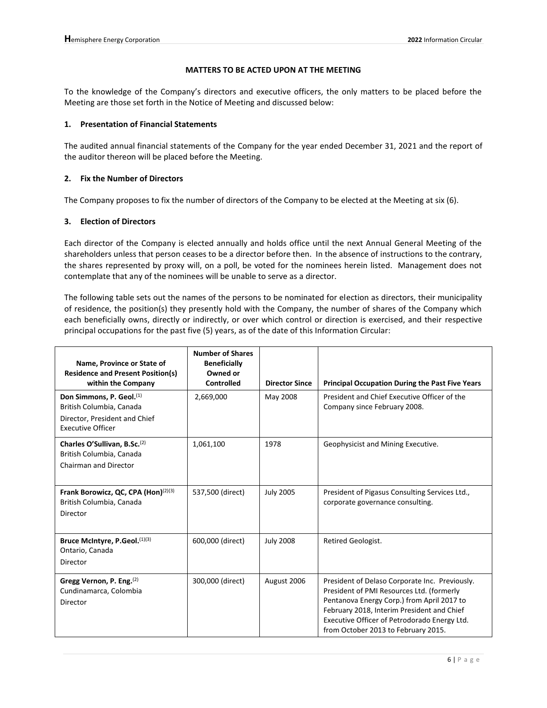### **MATTERS TO BE ACTED UPON AT THE MEETING**

To the knowledge of the Company's directors and executive officers, the only matters to be placed before the Meeting are those set forth in the Notice of Meeting and discussed below:

### **1. Presentation of Financial Statements**

The audited annual financial statements of the Company for the year ended December 31, 2021 and the report of the auditor thereon will be placed before the Meeting.

## **2. Fix the Number of Directors**

The Company proposes to fix the number of directors of the Company to be elected at the Meeting at six (6).

### **3. Election of Directors**

Each director of the Company is elected annually and holds office until the next Annual General Meeting of the shareholders unless that person ceases to be a director before then. In the absence of instructions to the contrary, the shares represented by proxy will, on a poll, be voted for the nominees herein listed. Management does not contemplate that any of the nominees will be unable to serve as a director.

The following table sets out the names of the persons to be nominated for election as directors, their municipality of residence, the position(s) they presently hold with the Company, the number of shares of the Company which each beneficially owns, directly or indirectly, or over which control or direction is exercised, and their respective principal occupations for the past five (5) years, as of the date of this Information Circular:

| Name, Province or State of<br><b>Residence and Present Position(s)</b><br>within the Company                                  | <b>Number of Shares</b><br><b>Beneficially</b><br>Owned or<br>Controlled | <b>Director Since</b> | <b>Principal Occupation During the Past Five Years</b>                                                                                                                                                                                                                         |
|-------------------------------------------------------------------------------------------------------------------------------|--------------------------------------------------------------------------|-----------------------|--------------------------------------------------------------------------------------------------------------------------------------------------------------------------------------------------------------------------------------------------------------------------------|
| Don Simmons, P. Geol. <sup>(1)</sup><br>British Columbia, Canada<br>Director, President and Chief<br><b>Executive Officer</b> | 2,669,000                                                                | May 2008              | President and Chief Executive Officer of the<br>Company since February 2008.                                                                                                                                                                                                   |
| Charles O'Sullivan, B.Sc. <sup>(2)</sup><br>British Columbia, Canada<br>Chairman and Director                                 | 1,061,100                                                                | 1978                  | Geophysicist and Mining Executive.                                                                                                                                                                                                                                             |
| Frank Borowicz, QC, CPA (Hon) $(2)(3)$<br>British Columbia, Canada<br>Director                                                | 537,500 (direct)                                                         | <b>July 2005</b>      | President of Pigasus Consulting Services Ltd.,<br>corporate governance consulting.                                                                                                                                                                                             |
| Bruce McIntyre, P.Geol. (1)(3)<br>Ontario, Canada<br>Director                                                                 | 600,000 (direct)                                                         | <b>July 2008</b>      | Retired Geologist.                                                                                                                                                                                                                                                             |
| Gregg Vernon, P. Eng.(2)<br>Cundinamarca, Colombia<br>Director                                                                | 300,000 (direct)                                                         | August 2006           | President of Delaso Corporate Inc. Previously.<br>President of PMI Resources Ltd. (formerly<br>Pentanova Energy Corp.) from April 2017 to<br>February 2018, Interim President and Chief<br>Executive Officer of Petrodorado Energy Ltd.<br>from October 2013 to February 2015. |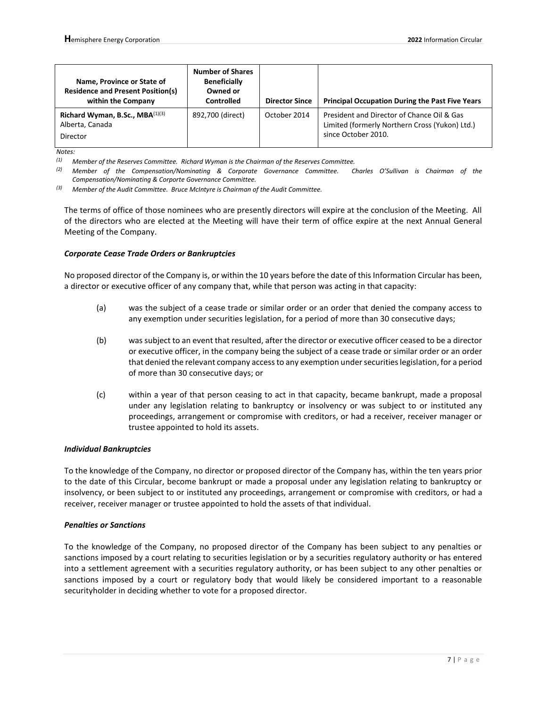| Name, Province or State of<br><b>Residence and Present Position(s)</b><br>within the Company | <b>Number of Shares</b><br><b>Beneficially</b><br>Owned or<br><b>Controlled</b> | <b>Director Since</b> | <b>Principal Occupation During the Past Five Years</b>                                                              |
|----------------------------------------------------------------------------------------------|---------------------------------------------------------------------------------|-----------------------|---------------------------------------------------------------------------------------------------------------------|
| Richard Wyman, B.Sc., $MBA^{(1)(3)}$<br>Alberta, Canada<br>Director                          | 892,700 (direct)                                                                | October 2014          | President and Director of Chance Oil & Gas<br>Limited (formerly Northern Cross (Yukon) Ltd.)<br>since October 2010. |

*Notes:*

*(1) Member of the Reserves Committee. Richard Wyman is the Chairman of the Reserves Committee.*

*(2) Member of the Compensation/Nominating & Corporate Governance Committee. Charles O'Sullivan is Chairman of the Compensation/Nominating & Corporte Governance Committee.*

*(3) Member of the Audit Committee. Bruce McIntyre is Chairman of the Audit Committee.*

The terms of office of those nominees who are presently directors will expire at the conclusion of the Meeting. All of the directors who are elected at the Meeting will have their term of office expire at the next Annual General Meeting of the Company.

#### *Corporate Cease Trade Orders or Bankruptcies*

No proposed director of the Company is, or within the 10 years before the date of this Information Circular has been, a director or executive officer of any company that, while that person was acting in that capacity:

- (a) was the subject of a cease trade or similar order or an order that denied the company access to any exemption under securities legislation, for a period of more than 30 consecutive days;
- (b) was subject to an event that resulted, after the director or executive officer ceased to be a director or executive officer, in the company being the subject of a cease trade or similar order or an order that denied the relevant company access to any exemption under securities legislation, for a period of more than 30 consecutive days; or
- (c) within a year of that person ceasing to act in that capacity, became bankrupt, made a proposal under any legislation relating to bankruptcy or insolvency or was subject to or instituted any proceedings, arrangement or compromise with creditors, or had a receiver, receiver manager or trustee appointed to hold its assets.

#### *Individual Bankruptcies*

To the knowledge of the Company, no director or proposed director of the Company has, within the ten years prior to the date of this Circular, become bankrupt or made a proposal under any legislation relating to bankruptcy or insolvency, or been subject to or instituted any proceedings, arrangement or compromise with creditors, or had a receiver, receiver manager or trustee appointed to hold the assets of that individual.

#### *Penalties or Sanctions*

To the knowledge of the Company, no proposed director of the Company has been subject to any penalties or sanctions imposed by a court relating to securities legislation or by a securities regulatory authority or has entered into a settlement agreement with a securities regulatory authority, or has been subject to any other penalties or sanctions imposed by a court or regulatory body that would likely be considered important to a reasonable securityholder in deciding whether to vote for a proposed director.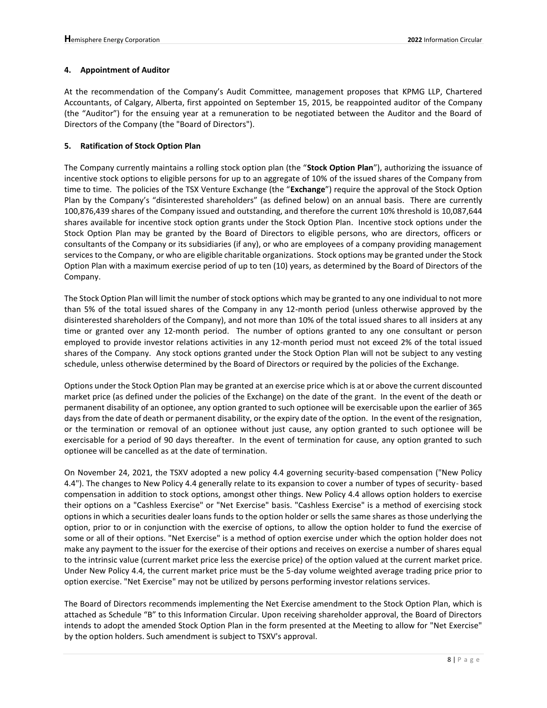### **4. Appointment of Auditor**

At the recommendation of the Company's Audit Committee, management proposes that KPMG LLP, Chartered Accountants, of Calgary, Alberta, first appointed on September 15, 2015, be reappointed auditor of the Company (the "Auditor") for the ensuing year at a remuneration to be negotiated between the Auditor and the Board of Directors of the Company (the "Board of Directors").

### **5. Ratification of Stock Option Plan**

The Company currently maintains a rolling stock option plan (the "**Stock Option Plan**"), authorizing the issuance of incentive stock options to eligible persons for up to an aggregate of 10% of the issued shares of the Company from time to time. The policies of the TSX Venture Exchange (the "**Exchange**") require the approval of the Stock Option Plan by the Company's "disinterested shareholders" (as defined below) on an annual basis. There are currently 100,876,439 shares of the Company issued and outstanding, and therefore the current 10% threshold is 10,087,644 shares available for incentive stock option grants under the Stock Option Plan. Incentive stock options under the Stock Option Plan may be granted by the Board of Directors to eligible persons, who are directors, officers or consultants of the Company or its subsidiaries (if any), or who are employees of a company providing management services to the Company, or who are eligible charitable organizations. Stock options may be granted under the Stock Option Plan with a maximum exercise period of up to ten (10) years, as determined by the Board of Directors of the Company.

The Stock Option Plan will limit the number of stock options which may be granted to any one individual to not more than 5% of the total issued shares of the Company in any 12-month period (unless otherwise approved by the disinterested shareholders of the Company), and not more than 10% of the total issued shares to all insiders at any time or granted over any 12-month period. The number of options granted to any one consultant or person employed to provide investor relations activities in any 12-month period must not exceed 2% of the total issued shares of the Company. Any stock options granted under the Stock Option Plan will not be subject to any vesting schedule, unless otherwise determined by the Board of Directors or required by the policies of the Exchange.

Options under the Stock Option Plan may be granted at an exercise price which is at or above the current discounted market price (as defined under the policies of the Exchange) on the date of the grant. In the event of the death or permanent disability of an optionee, any option granted to such optionee will be exercisable upon the earlier of 365 days from the date of death or permanent disability, or the expiry date of the option. In the event of the resignation, or the termination or removal of an optionee without just cause, any option granted to such optionee will be exercisable for a period of 90 days thereafter. In the event of termination for cause, any option granted to such optionee will be cancelled as at the date of termination.

On November 24, 2021, the TSXV adopted a new policy 4.4 governing security-based compensation ("New Policy 4.4"). The changes to New Policy 4.4 generally relate to its expansion to cover a number of types of security- based compensation in addition to stock options, amongst other things. New Policy 4.4 allows option holders to exercise their options on a "Cashless Exercise" or "Net Exercise" basis. "Cashless Exercise" is a method of exercising stock options in which a securities dealer loans funds to the option holder or sells the same shares as those underlying the option, prior to or in conjunction with the exercise of options, to allow the option holder to fund the exercise of some or all of their options. "Net Exercise" is a method of option exercise under which the option holder does not make any payment to the issuer for the exercise of their options and receives on exercise a number of shares equal to the intrinsic value (current market price less the exercise price) of the option valued at the current market price. Under New Policy 4.4, the current market price must be the 5-day volume weighted average trading price prior to option exercise. "Net Exercise" may not be utilized by persons performing investor relations services.

The Board of Directors recommends implementing the Net Exercise amendment to the Stock Option Plan, which is attached as Schedule "B" to this Information Circular. Upon receiving shareholder approval, the Board of Directors intends to adopt the amended Stock Option Plan in the form presented at the Meeting to allow for "Net Exercise" by the option holders. Such amendment is subject to TSXV's approval.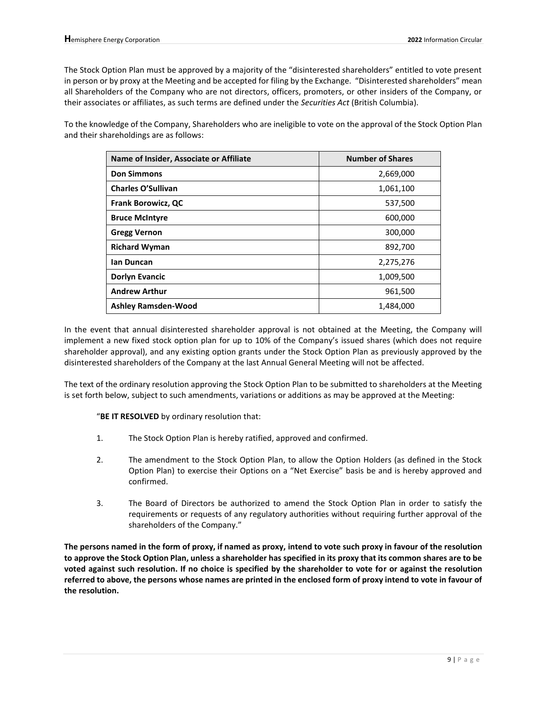The Stock Option Plan must be approved by a majority of the "disinterested shareholders" entitled to vote present in person or by proxy at the Meeting and be accepted for filing by the Exchange. "Disinterested shareholders" mean all Shareholders of the Company who are not directors, officers, promoters, or other insiders of the Company, or their associates or affiliates, as such terms are defined under the *Securities Act* (British Columbia).

To the knowledge of the Company, Shareholders who are ineligible to vote on the approval of the Stock Option Plan and their shareholdings are as follows:

| Name of Insider, Associate or Affiliate | <b>Number of Shares</b> |
|-----------------------------------------|-------------------------|
| <b>Don Simmons</b>                      | 2,669,000               |
| <b>Charles O'Sullivan</b>               | 1,061,100               |
| <b>Frank Borowicz, QC</b>               | 537,500                 |
| <b>Bruce McIntyre</b>                   | 600,000                 |
| <b>Gregg Vernon</b>                     | 300,000                 |
| <b>Richard Wyman</b>                    | 892,700                 |
| lan Duncan                              | 2,275,276               |
| <b>Dorlyn Evancic</b>                   | 1,009,500               |
| <b>Andrew Arthur</b>                    | 961,500                 |
| <b>Ashley Ramsden-Wood</b>              | 1,484,000               |

In the event that annual disinterested shareholder approval is not obtained at the Meeting, the Company will implement a new fixed stock option plan for up to 10% of the Company's issued shares (which does not require shareholder approval), and any existing option grants under the Stock Option Plan as previously approved by the disinterested shareholders of the Company at the last Annual General Meeting will not be affected.

The text of the ordinary resolution approving the Stock Option Plan to be submitted to shareholders at the Meeting is set forth below, subject to such amendments, variations or additions as may be approved at the Meeting:

"**BE IT RESOLVED** by ordinary resolution that:

- 1. The Stock Option Plan is hereby ratified, approved and confirmed.
- 2. The amendment to the Stock Option Plan, to allow the Option Holders (as defined in the Stock Option Plan) to exercise their Options on a "Net Exercise" basis be and is hereby approved and confirmed.
- 3. The Board of Directors be authorized to amend the Stock Option Plan in order to satisfy the requirements or requests of any regulatory authorities without requiring further approval of the shareholders of the Company."

**The persons named in the form of proxy, if named as proxy, intend to vote such proxy in favour of the resolution to approve the Stock Option Plan, unless a shareholder has specified in its proxy that its common shares are to be voted against such resolution. If no choice is specified by the shareholder to vote for or against the resolution referred to above, the persons whose names are printed in the enclosed form of proxy intend to vote in favour of the resolution.**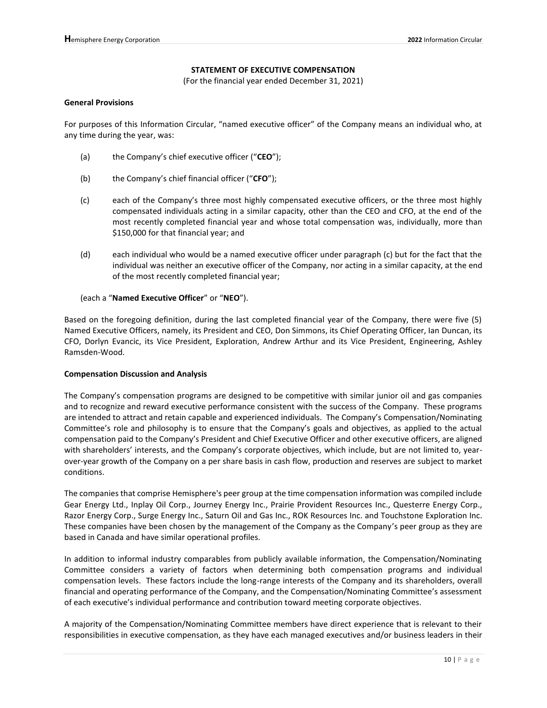## **STATEMENT OF EXECUTIVE COMPENSATION**

(For the financial year ended December 31, 2021)

#### **General Provisions**

For purposes of this Information Circular, "named executive officer" of the Company means an individual who, at any time during the year, was:

- (a) the Company's chief executive officer ("**CEO**");
- (b) the Company's chief financial officer ("**CFO**");
- (c) each of the Company's three most highly compensated executive officers, or the three most highly compensated individuals acting in a similar capacity, other than the CEO and CFO, at the end of the most recently completed financial year and whose total compensation was, individually, more than \$150,000 for that financial year; and
- (d) each individual who would be a named executive officer under paragraph (c) but for the fact that the individual was neither an executive officer of the Company, nor acting in a similar capacity, at the end of the most recently completed financial year;

#### (each a "**Named Executive Officer**" or "**NEO**").

Based on the foregoing definition, during the last completed financial year of the Company, there were five (5) Named Executive Officers, namely, its President and CEO, Don Simmons, its Chief Operating Officer, Ian Duncan, its CFO, Dorlyn Evancic, its Vice President, Exploration, Andrew Arthur and its Vice President, Engineering, Ashley Ramsden-Wood.

#### **Compensation Discussion and Analysis**

The Company's compensation programs are designed to be competitive with similar junior oil and gas companies and to recognize and reward executive performance consistent with the success of the Company. These programs are intended to attract and retain capable and experienced individuals. The Company's Compensation/Nominating Committee's role and philosophy is to ensure that the Company's goals and objectives, as applied to the actual compensation paid to the Company's President and Chief Executive Officer and other executive officers, are aligned with shareholders' interests, and the Company's corporate objectives, which include, but are not limited to, yearover-year growth of the Company on a per share basis in cash flow, production and reserves are subject to market conditions.

The companies that comprise Hemisphere's peer group at the time compensation information was compiled include Gear Energy Ltd., Inplay Oil Corp., Journey Energy Inc., Prairie Provident Resources Inc., Questerre Energy Corp., Razor Energy Corp., Surge Energy Inc., Saturn Oil and Gas Inc., ROK Resources Inc. and Touchstone Exploration Inc. These companies have been chosen by the management of the Company as the Company's peer group as they are based in Canada and have similar operational profiles.

In addition to informal industry comparables from publicly available information, the Compensation/Nominating Committee considers a variety of factors when determining both compensation programs and individual compensation levels. These factors include the long-range interests of the Company and its shareholders, overall financial and operating performance of the Company, and the Compensation/Nominating Committee's assessment of each executive's individual performance and contribution toward meeting corporate objectives.

A majority of the Compensation/Nominating Committee members have direct experience that is relevant to their responsibilities in executive compensation, as they have each managed executives and/or business leaders in their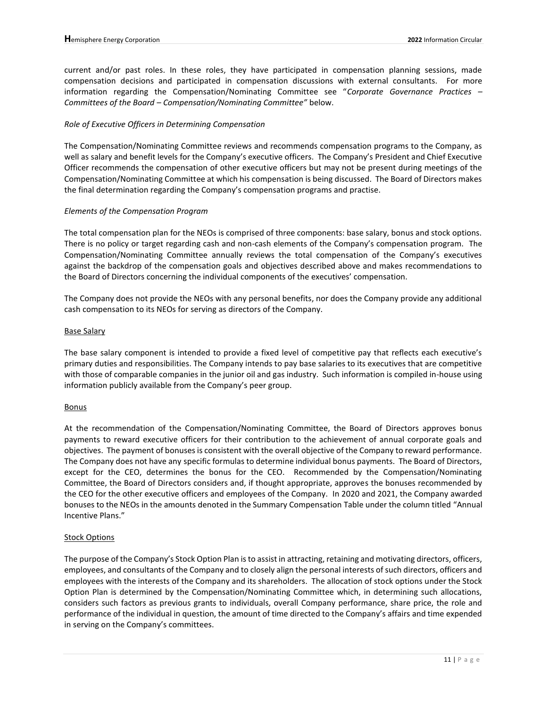current and/or past roles. In these roles, they have participated in compensation planning sessions, made compensation decisions and participated in compensation discussions with external consultants. For more information regarding the Compensation/Nominating Committee see "*Corporate Governance Practices – Committees of the Board – Compensation/Nominating Committee"* below.

### *Role of Executive Officers in Determining Compensation*

The Compensation/Nominating Committee reviews and recommends compensation programs to the Company, as well as salary and benefit levels for the Company's executive officers. The Company's President and Chief Executive Officer recommends the compensation of other executive officers but may not be present during meetings of the Compensation/Nominating Committee at which his compensation is being discussed. The Board of Directors makes the final determination regarding the Company's compensation programs and practise.

#### *Elements of the Compensation Program*

The total compensation plan for the NEOs is comprised of three components: base salary, bonus and stock options. There is no policy or target regarding cash and non-cash elements of the Company's compensation program. The Compensation/Nominating Committee annually reviews the total compensation of the Company's executives against the backdrop of the compensation goals and objectives described above and makes recommendations to the Board of Directors concerning the individual components of the executives' compensation.

The Company does not provide the NEOs with any personal benefits, nor does the Company provide any additional cash compensation to its NEOs for serving as directors of the Company.

#### Base Salary

The base salary component is intended to provide a fixed level of competitive pay that reflects each executive's primary duties and responsibilities. The Company intends to pay base salaries to its executives that are competitive with those of comparable companies in the junior oil and gas industry. Such information is compiled in-house using information publicly available from the Company's peer group.

### **Bonus**

At the recommendation of the Compensation/Nominating Committee, the Board of Directors approves bonus payments to reward executive officers for their contribution to the achievement of annual corporate goals and objectives. The payment of bonuses is consistent with the overall objective of the Company to reward performance. The Company does not have any specific formulas to determine individual bonus payments. The Board of Directors, except for the CEO, determines the bonus for the CEO. Recommended by the Compensation/Nominating Committee, the Board of Directors considers and, if thought appropriate, approves the bonuses recommended by the CEO for the other executive officers and employees of the Company. In 2020 and 2021, the Company awarded bonuses to the NEOs in the amounts denoted in the Summary Compensation Table under the column titled "Annual Incentive Plans."

#### Stock Options

The purpose of the Company's Stock Option Plan is to assist in attracting, retaining and motivating directors, officers, employees, and consultants of the Company and to closely align the personal interests of such directors, officers and employees with the interests of the Company and its shareholders. The allocation of stock options under the Stock Option Plan is determined by the Compensation/Nominating Committee which, in determining such allocations, considers such factors as previous grants to individuals, overall Company performance, share price, the role and performance of the individual in question, the amount of time directed to the Company's affairs and time expended in serving on the Company's committees.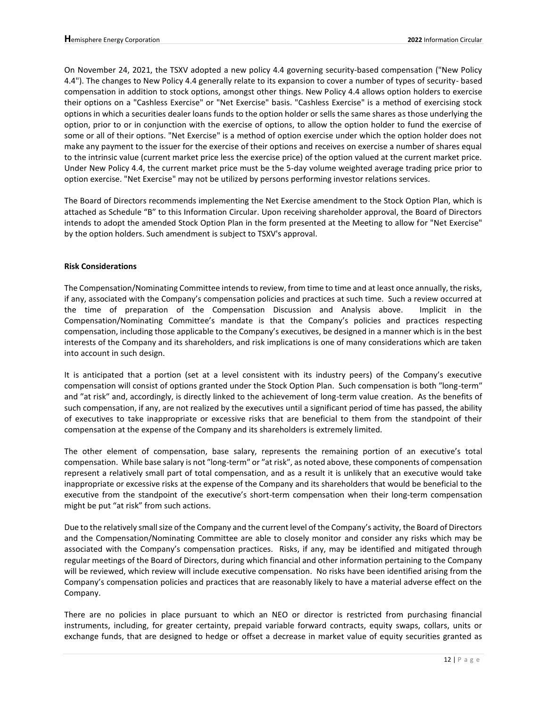On November 24, 2021, the TSXV adopted a new policy 4.4 governing security-based compensation ("New Policy 4.4"). The changes to New Policy 4.4 generally relate to its expansion to cover a number of types of security- based compensation in addition to stock options, amongst other things. New Policy 4.4 allows option holders to exercise their options on a "Cashless Exercise" or "Net Exercise" basis. "Cashless Exercise" is a method of exercising stock options in which a securities dealer loans funds to the option holder or sells the same shares as those underlying the option, prior to or in conjunction with the exercise of options, to allow the option holder to fund the exercise of some or all of their options. "Net Exercise" is a method of option exercise under which the option holder does not make any payment to the issuer for the exercise of their options and receives on exercise a number of shares equal to the intrinsic value (current market price less the exercise price) of the option valued at the current market price. Under New Policy 4.4, the current market price must be the 5-day volume weighted average trading price prior to option exercise. "Net Exercise" may not be utilized by persons performing investor relations services.

The Board of Directors recommends implementing the Net Exercise amendment to the Stock Option Plan, which is attached as Schedule "B" to this Information Circular. Upon receiving shareholder approval, the Board of Directors intends to adopt the amended Stock Option Plan in the form presented at the Meeting to allow for "Net Exercise" by the option holders. Such amendment is subject to TSXV's approval.

## **Risk Considerations**

The Compensation/Nominating Committee intends to review, from time to time and at least once annually, the risks, if any, associated with the Company's compensation policies and practices at such time. Such a review occurred at the time of preparation of the Compensation Discussion and Analysis above. Implicit in the Compensation/Nominating Committee's mandate is that the Company's policies and practices respecting compensation, including those applicable to the Company's executives, be designed in a manner which is in the best interests of the Company and its shareholders, and risk implications is one of many considerations which are taken into account in such design.

It is anticipated that a portion (set at a level consistent with its industry peers) of the Company's executive compensation will consist of options granted under the Stock Option Plan. Such compensation is both ″long-term″ and ″at risk″ and, accordingly, is directly linked to the achievement of long-term value creation. As the benefits of such compensation, if any, are not realized by the executives until a significant period of time has passed, the ability of executives to take inappropriate or excessive risks that are beneficial to them from the standpoint of their compensation at the expense of the Company and its shareholders is extremely limited.

The other element of compensation, base salary, represents the remaining portion of an executive's total compensation. While base salary is not ″long-term″ or ″at risk″, as noted above, these components of compensation represent a relatively small part of total compensation, and as a result it is unlikely that an executive would take inappropriate or excessive risks at the expense of the Company and its shareholders that would be beneficial to the executive from the standpoint of the executive's short-term compensation when their long-term compensation might be put "at risk" from such actions.

Due to the relatively small size of the Company and the current level of the Company's activity, the Board of Directors and the Compensation/Nominating Committee are able to closely monitor and consider any risks which may be associated with the Company's compensation practices. Risks, if any, may be identified and mitigated through regular meetings of the Board of Directors, during which financial and other information pertaining to the Company will be reviewed, which review will include executive compensation. No risks have been identified arising from the Company's compensation policies and practices that are reasonably likely to have a material adverse effect on the Company.

There are no policies in place pursuant to which an NEO or director is restricted from purchasing financial instruments, including, for greater certainty, prepaid variable forward contracts, equity swaps, collars, units or exchange funds, that are designed to hedge or offset a decrease in market value of equity securities granted as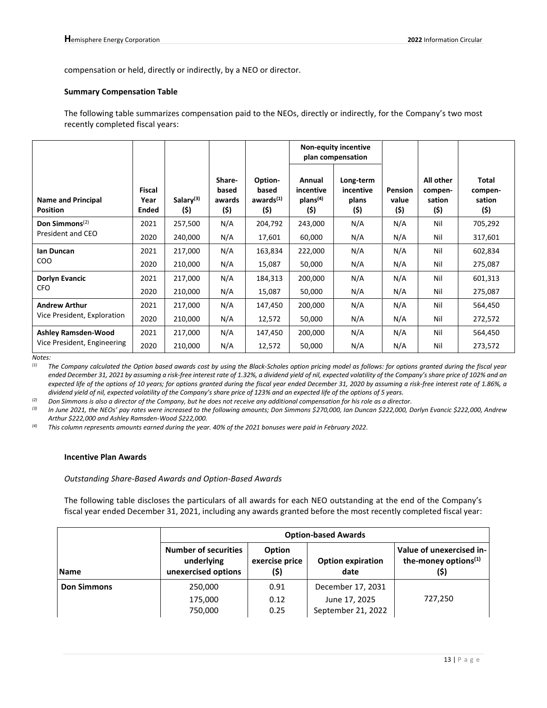compensation or held, directly or indirectly, by a NEO or director.

#### **Summary Compensation Table**

The following table summarizes compensation paid to the NEOs, directly or indirectly, for the Company's two most recently completed fiscal years:

|                                              |                         |                               |                                   |                                                   |                                                     | <b>Non-equity incentive</b><br>plan compensation |                                 |                                        |                                    |
|----------------------------------------------|-------------------------|-------------------------------|-----------------------------------|---------------------------------------------------|-----------------------------------------------------|--------------------------------------------------|---------------------------------|----------------------------------------|------------------------------------|
| <b>Name and Principal</b><br><b>Position</b> | Fiscal<br>Year<br>Ended | Salary <sup>(3)</sup><br>(\$) | Share-<br>based<br>awards<br>(\$) | Option-<br>based<br>awards <sup>(1)</sup><br>(\$) | Annual<br>incentive<br>plans <sup>(4)</sup><br>(\$) | Long-term<br>incentive<br>plans<br>(\$)          | <b>Pension</b><br>value<br>(\$) | All other<br>compen-<br>sation<br>(\$) | Total<br>compen-<br>sation<br>(\$) |
| Don Simmons <sup>(2)</sup>                   | 2021                    | 257,500                       | N/A                               | 204,792                                           | 243,000                                             | N/A                                              | N/A                             | Nil                                    | 705,292                            |
| President and CEO                            | 2020                    | 240,000                       | N/A                               | 17,601                                            | 60,000                                              | N/A                                              | N/A                             | Nil                                    | 317,601                            |
| lan Duncan                                   | 2021                    | 217,000                       | N/A                               | 163,834                                           | 222,000                                             | N/A                                              | N/A                             | Nil                                    | 602,834                            |
| CO <sub>O</sub>                              | 2020                    | 210,000                       | N/A                               | 15,087                                            | 50,000                                              | N/A                                              | N/A                             | Nil                                    | 275,087                            |
| <b>Dorlyn Evancic</b>                        | 2021                    | 217,000                       | N/A                               | 184,313                                           | 200,000                                             | N/A                                              | N/A                             | Nil                                    | 601,313                            |
| <b>CFO</b>                                   | 2020                    | 210,000                       | N/A                               | 15,087                                            | 50,000                                              | N/A                                              | N/A                             | Nil                                    | 275,087                            |
| <b>Andrew Arthur</b>                         | 2021                    | 217,000                       | N/A                               | 147,450                                           | 200,000                                             | N/A                                              | N/A                             | Nil                                    | 564,450                            |
| Vice President, Exploration                  | 2020                    | 210,000                       | N/A                               | 12,572                                            | 50,000                                              | N/A                                              | N/A                             | Nil                                    | 272,572                            |
| <b>Ashley Ramsden-Wood</b>                   | 2021                    | 217,000                       | N/A                               | 147,450                                           | 200,000                                             | N/A                                              | N/A                             | Nil                                    | 564,450                            |
| Vice President, Engineering                  | 2020                    | 210,000                       | N/A                               | 12,572                                            | 50,000                                              | N/A                                              | N/A                             | Nil                                    | 273,572                            |

*Notes:*

*(1) The Company calculated the Option based awards cost by using the Black-Scholes option pricing model as follows: for options granted during the fiscal year ended December 31, 2021 by assuming a risk-free interest rate of 1.32%, a dividend yield of nil, expected volatility of the Company's share price of 102% and an expected life of the options of 10 years; for options granted during the fiscal year ended December 31, 2020 by assuming a risk-free interest rate of 1.86%, a dividend yield of nil, expected volatility of the Company's share price of 123% and an expected life of the options of 5 years.* 

*(2) Don Simmons is also a director of the Company, but he does not receive any additional compensation for his role as a director.*

*(3) In June 2021, the NEOs' pay rates were increased to the following amounts; Don Simmons \$270,000, Ian Duncan \$222,000, Dorlyn Evancic \$222,000, Andrew Arthur \$222,000 and Ashley Ramsden-Wood \$222,000.*

*(4) This column represents amounts earned during the year. 40% of the 2021 bonuses were paid in February 2022.*

### **Incentive Plan Awards**

#### *Outstanding Share-Based Awards and Option-Based Awards*

The following table discloses the particulars of all awards for each NEO outstanding at the end of the Company's fiscal year ended December 31, 2021, including any awards granted before the most recently completed fiscal year:

|                    | <b>Option-based Awards</b>                                       |                                  |                                                          |                                                                      |  |  |
|--------------------|------------------------------------------------------------------|----------------------------------|----------------------------------------------------------|----------------------------------------------------------------------|--|--|
| <b>Name</b>        | <b>Number of securities</b><br>underlying<br>unexercised options | Option<br>exercise price<br>(\$) | <b>Option expiration</b><br>date                         | Value of unexercised in-<br>the-money options <sup>(1)</sup><br>(\$) |  |  |
| <b>Don Simmons</b> | 250,000<br>175,000<br>750,000                                    | 0.91<br>0.12<br>0.25             | December 17, 2031<br>June 17, 2025<br>September 21, 2022 | 727,250                                                              |  |  |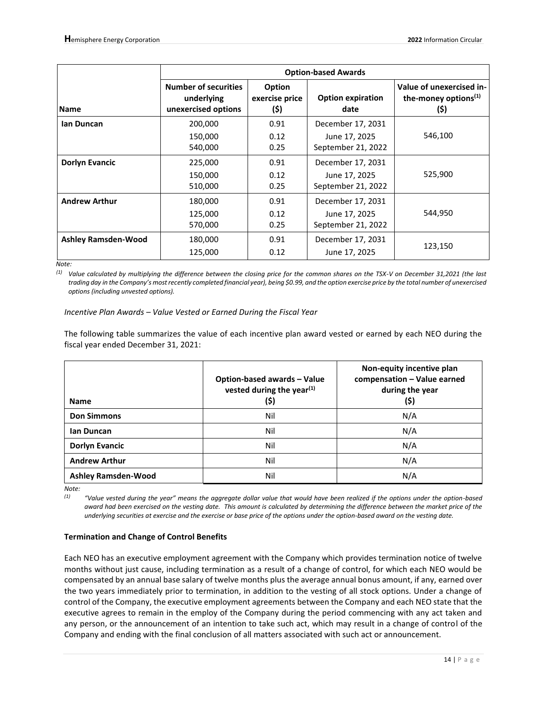|                            | <b>Option-based Awards</b>                                       |                                  |                                     |                                                             |  |  |
|----------------------------|------------------------------------------------------------------|----------------------------------|-------------------------------------|-------------------------------------------------------------|--|--|
| <b>Name</b>                | <b>Number of securities</b><br>underlying<br>unexercised options | Option<br>exercise price<br>(\$) | <b>Option expiration</b><br>date    | Value of unexercised in-<br>the-money options $(1)$<br>(\$) |  |  |
| lan Duncan                 | 200,000                                                          | 0.91                             | December 17, 2031                   |                                                             |  |  |
|                            | 150,000<br>540,000                                               | 0.12<br>0.25                     | June 17, 2025<br>September 21, 2022 | 546,100                                                     |  |  |
| <b>Dorlyn Evancic</b>      | 225,000                                                          | 0.91                             | December 17, 2031                   |                                                             |  |  |
|                            | 150,000<br>510,000                                               | 0.12<br>0.25                     | June 17, 2025<br>September 21, 2022 | 525,900                                                     |  |  |
| <b>Andrew Arthur</b>       | 180,000                                                          | 0.91                             | December 17, 2031                   |                                                             |  |  |
|                            | 125,000<br>570,000                                               | 0.12<br>0.25                     | June 17, 2025<br>September 21, 2022 | 544,950                                                     |  |  |
| <b>Ashley Ramsden-Wood</b> | 180,000                                                          | 0.91                             | December 17, 2031                   |                                                             |  |  |
|                            | 125,000                                                          | 0.12                             | June 17, 2025                       | 123,150                                                     |  |  |

*Note:*

*(1) Value calculated by multiplying the difference between the closing price for the common shares on the TSX-V on December 31,2021 (the last trading day in the Company's most recently completed financial year), being \$0.99, and the option exercise price by the total number of unexercised options (including unvested options).*

### *Incentive Plan Awards – Value Vested or Earned During the Fiscal Year*

The following table summarizes the value of each incentive plan award vested or earned by each NEO during the fiscal year ended December 31, 2021:

| <b>Name</b>                | Option-based awards - Value<br>vested during the year $(1)$<br>(\$) | Non-equity incentive plan<br>compensation - Value earned<br>during the year<br>(\$) |
|----------------------------|---------------------------------------------------------------------|-------------------------------------------------------------------------------------|
| <b>Don Simmons</b>         | Nil                                                                 | N/A                                                                                 |
| lan Duncan                 | Nil                                                                 | N/A                                                                                 |
| <b>Dorlyn Evancic</b>      | Nil                                                                 | N/A                                                                                 |
| <b>Andrew Arthur</b>       | Nil                                                                 | N/A                                                                                 |
| <b>Ashley Ramsden-Wood</b> | Nil                                                                 | N/A                                                                                 |

*Note:*

*(1) "Value vested during the year" means the aggregate dollar value that would have been realized if the options under the option-based award had been exercised on the vesting date. This amount is calculated by determining the difference between the market price of the underlying securities at exercise and the exercise or base price of the options under the option-based award on the vesting date.*

## **Termination and Change of Control Benefits**

Each NEO has an executive employment agreement with the Company which provides termination notice of twelve months without just cause, including termination as a result of a change of control, for which each NEO would be compensated by an annual base salary of twelve months plus the average annual bonus amount, if any, earned over the two years immediately prior to termination, in addition to the vesting of all stock options. Under a change of control of the Company, the executive employment agreements between the Company and each NEO state that the executive agrees to remain in the employ of the Company during the period commencing with any act taken and any person, or the announcement of an intention to take such act, which may result in a change of control of the Company and ending with the final conclusion of all matters associated with such act or announcement.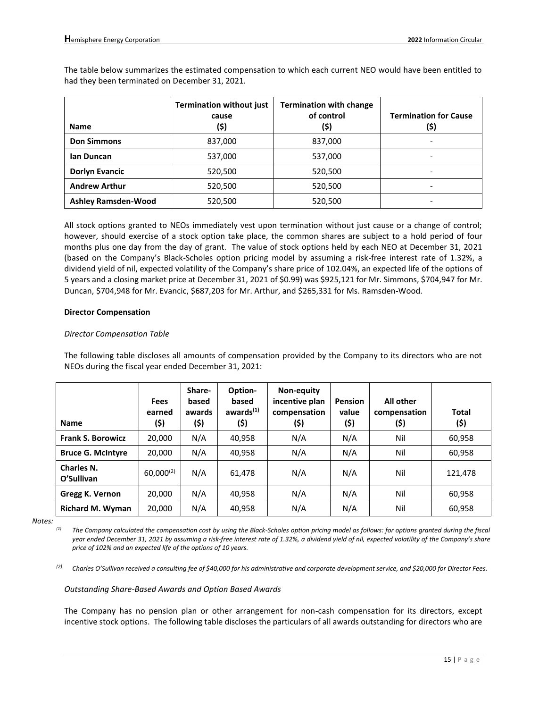The table below summarizes the estimated compensation to which each current NEO would have been entitled to had they been terminated on December 31, 2021.

| <b>Name</b>                | <b>Termination without just</b><br>cause<br>(\$) | <b>Termination with change</b><br>of control<br>(\$) | <b>Termination for Cause</b><br>(\$) |
|----------------------------|--------------------------------------------------|------------------------------------------------------|--------------------------------------|
| <b>Don Simmons</b>         | 837,000                                          | 837,000                                              |                                      |
| lan Duncan                 | 537,000                                          | 537,000                                              |                                      |
| <b>Dorlyn Evancic</b>      | 520,500                                          | 520,500                                              |                                      |
| <b>Andrew Arthur</b>       | 520,500                                          | 520,500                                              |                                      |
| <b>Ashley Ramsden-Wood</b> | 520,500                                          | 520,500                                              |                                      |

All stock options granted to NEOs immediately vest upon termination without just cause or a change of control; however, should exercise of a stock option take place, the common shares are subject to a hold period of four months plus one day from the day of grant. The value of stock options held by each NEO at December 31, 2021 (based on the Company's Black-Scholes option pricing model by assuming a risk-free interest rate of 1.32%, a dividend yield of nil, expected volatility of the Company's share price of 102.04%, an expected life of the options of 5 years and a closing market price at December 31, 2021 of \$0.99) was \$925,121 for Mr. Simmons, \$704,947 for Mr. Duncan, \$704,948 for Mr. Evancic, \$687,203 for Mr. Arthur, and \$265,331 for Ms. Ramsden-Wood.

#### **Director Compensation**

### *Director Compensation Table*

The following table discloses all amounts of compensation provided by the Company to its directors who are not NEOs during the fiscal year ended December 31, 2021:

| <b>Name</b>              | <b>Fees</b><br>earned<br>(\$) | Share-<br>based<br>awards<br>(\$) | Option-<br>based<br>awards <sup>(1)</sup><br>(\$) | Non-equity<br>incentive plan<br>compensation<br>(\$) | <b>Pension</b><br>value<br>(\$) | <b>All other</b><br>compensation<br>(\$) | Total<br>(\$) |
|--------------------------|-------------------------------|-----------------------------------|---------------------------------------------------|------------------------------------------------------|---------------------------------|------------------------------------------|---------------|
| <b>Frank S. Borowicz</b> | 20,000                        | N/A                               | 40,958                                            | N/A                                                  | N/A                             | Nil                                      | 60,958        |
| <b>Bruce G. McIntyre</b> | 20,000                        | N/A                               | 40,958                                            | N/A                                                  | N/A                             | Nil                                      | 60,958        |
| Charles N.<br>O'Sullivan | $60,000^{(2)}$                | N/A                               | 61,478                                            | N/A                                                  | N/A                             | Nil                                      | 121,478       |
| Gregg K. Vernon          | 20,000                        | N/A                               | 40,958                                            | N/A                                                  | N/A                             | Nil                                      | 60,958        |
| <b>Richard M. Wyman</b>  | 20,000                        | N/A                               | 40,958                                            | N/A                                                  | N/A                             | Nil                                      | 60,958        |

*Notes:*

*(1) The Company calculated the compensation cost by using the Black-Scholes option pricing model as follows: for options granted during the fiscal year ended December 31, 2021 by assuming a risk-free interest rate of 1.32%, a dividend yield of nil, expected volatility of the Company's share price of 102% and an expected life of the options of 10 years.*

*(2) Charles O'Sullivan received a consulting fee of \$40,000 for his administrative and corporate development service, and \$20,000 for Director Fees.*

#### *Outstanding Share-Based Awards and Option Based Awards*

The Company has no pension plan or other arrangement for non-cash compensation for its directors, except incentive stock options. The following table discloses the particulars of all awards outstanding for directors who are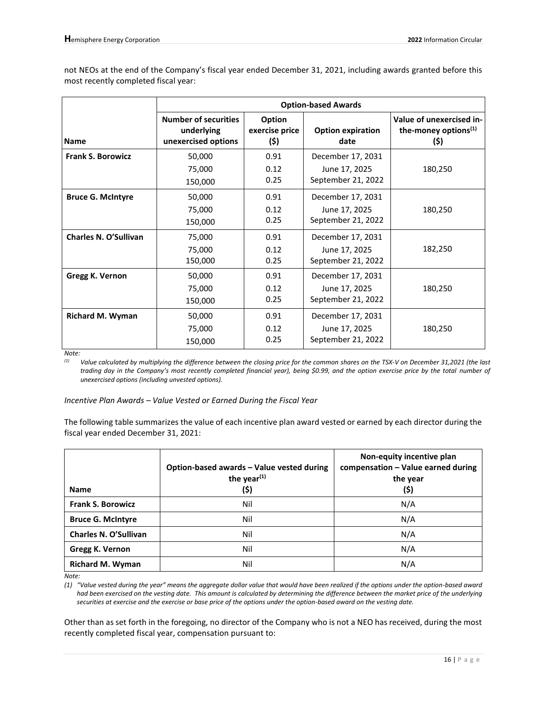not NEOs at the end of the Company's fiscal year ended December 31, 2021, including awards granted before this most recently completed fiscal year:

|                              |                                                                  |                                  | <b>Option-based Awards</b>                               |                                                                      |
|------------------------------|------------------------------------------------------------------|----------------------------------|----------------------------------------------------------|----------------------------------------------------------------------|
| <b>Name</b>                  | <b>Number of securities</b><br>underlying<br>unexercised options | Option<br>exercise price<br>(\$) | <b>Option expiration</b><br>date                         | Value of unexercised in-<br>the-money options <sup>(1)</sup><br>(\$) |
| <b>Frank S. Borowicz</b>     | 50,000<br>75,000                                                 | 0.91<br>0.12                     | December 17, 2031<br>June 17, 2025                       | 180,250                                                              |
|                              | 150,000                                                          | 0.25                             | September 21, 2022                                       |                                                                      |
| <b>Bruce G. McIntyre</b>     | 50,000<br>75,000<br>150,000                                      | 0.91<br>0.12<br>0.25             | December 17, 2031<br>June 17, 2025<br>September 21, 2022 | 180,250                                                              |
| <b>Charles N. O'Sullivan</b> | 75,000<br>75,000<br>150,000                                      | 0.91<br>0.12<br>0.25             | December 17, 2031<br>June 17, 2025<br>September 21, 2022 | 182,250                                                              |
| Gregg K. Vernon              | 50,000<br>75,000<br>150,000                                      | 0.91<br>0.12<br>0.25             | December 17, 2031<br>June 17, 2025<br>September 21, 2022 | 180,250                                                              |
| Richard M. Wyman             | 50,000<br>75,000<br>150,000                                      | 0.91<br>0.12<br>0.25             | December 17, 2031<br>June 17, 2025<br>September 21, 2022 | 180,250                                                              |

*Note:*

*(1) Value calculated by multiplying the difference between the closing price for the common shares on the TSX-V on December 31,2021 (the last trading day in the Company's most recently completed financial year), being \$0.99, and the option exercise price by the total number of unexercised options (including unvested options).*

#### *Incentive Plan Awards – Value Vested or Earned During the Fiscal Year*

The following table summarizes the value of each incentive plan award vested or earned by each director during the fiscal year ended December 31, 2021:

| <b>Name</b>              | Option-based awards - Value vested during<br>the year $(1)$<br>(\$) | Non-equity incentive plan<br>compensation - Value earned during<br>the year<br>(\$) |
|--------------------------|---------------------------------------------------------------------|-------------------------------------------------------------------------------------|
| <b>Frank S. Borowicz</b> | Nil                                                                 | N/A                                                                                 |
| <b>Bruce G. McIntyre</b> | Nil                                                                 | N/A                                                                                 |
| Charles N. O'Sullivan    | Nil                                                                 | N/A                                                                                 |
| Gregg K. Vernon          | Nil                                                                 | N/A                                                                                 |
| <b>Richard M. Wyman</b>  | Nil                                                                 | N/A                                                                                 |

*Note:*

*(1) "Value vested during the year" means the aggregate dollar value that would have been realized if the options under the option-based award had been exercised on the vesting date. This amount is calculated by determining the difference between the market price of the underlying securities at exercise and the exercise or base price of the options under the option-based award on the vesting date.*

Other than as set forth in the foregoing, no director of the Company who is not a NEO has received, during the most recently completed fiscal year, compensation pursuant to: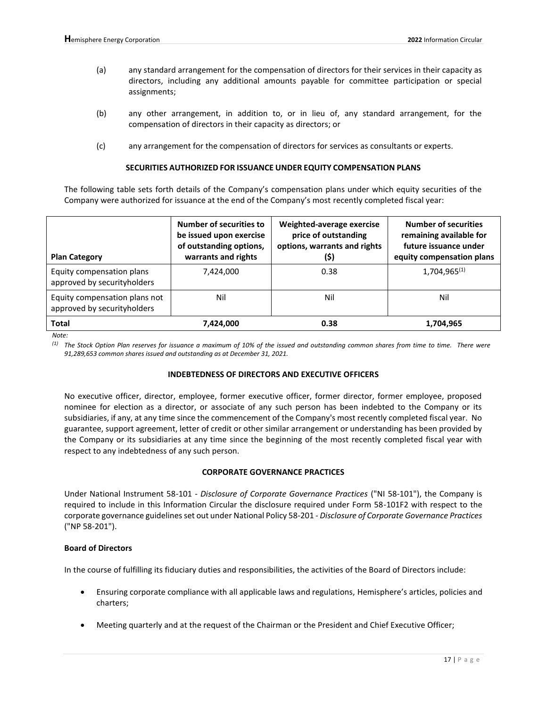- (a) any standard arrangement for the compensation of directors for their services in their capacity as directors, including any additional amounts payable for committee participation or special assignments;
- (b) any other arrangement, in addition to, or in lieu of, any standard arrangement, for the compensation of directors in their capacity as directors; or
- (c) any arrangement for the compensation of directors for services as consultants or experts.

#### **SECURITIES AUTHORIZED FOR ISSUANCE UNDER EQUITY COMPENSATION PLANS**

The following table sets forth details of the Company's compensation plans under which equity securities of the Company were authorized for issuance at the end of the Company's most recently completed fiscal year:

| <b>Plan Category</b>                                         | <b>Number of securities to</b><br>be issued upon exercise<br>of outstanding options,<br>warrants and rights | Weighted-average exercise<br>price of outstanding<br>options, warrants and rights<br>(\$) | <b>Number of securities</b><br>remaining available for<br>future issuance under<br>equity compensation plans |
|--------------------------------------------------------------|-------------------------------------------------------------------------------------------------------------|-------------------------------------------------------------------------------------------|--------------------------------------------------------------------------------------------------------------|
| Equity compensation plans<br>approved by securityholders     | 7,424,000                                                                                                   | 0.38                                                                                      | $1,704,965^{(1)}$                                                                                            |
| Equity compensation plans not<br>approved by securityholders | Nil                                                                                                         | Nil                                                                                       | Nil                                                                                                          |
| Total                                                        | 7,424,000                                                                                                   | 0.38                                                                                      | 1,704,965                                                                                                    |

*Note:*

*(1) The Stock Option Plan reserves for issuance a maximum of 10% of the issued and outstanding common shares from time to time. There were 91,289,653 common shares issued and outstanding as at December 31, 2021.*

#### **INDEBTEDNESS OF DIRECTORS AND EXECUTIVE OFFICERS**

No executive officer, director, employee, former executive officer, former director, former employee, proposed nominee for election as a director, or associate of any such person has been indebted to the Company or its subsidiaries, if any, at any time since the commencement of the Company's most recently completed fiscal year. No guarantee, support agreement, letter of credit or other similar arrangement or understanding has been provided by the Company or its subsidiaries at any time since the beginning of the most recently completed fiscal year with respect to any indebtedness of any such person.

## **CORPORATE GOVERNANCE PRACTICES**

Under National Instrument 58-101 - *Disclosure of Corporate Governance Practices* ("NI 58-101"), the Company is required to include in this Information Circular the disclosure required under Form 58-101F2 with respect to the corporate governance guidelines set out under National Policy 58-201 - *Disclosure of Corporate Governance Practices*  ("NP 58-201").

## **Board of Directors**

In the course of fulfilling its fiduciary duties and responsibilities, the activities of the Board of Directors include:

- Ensuring corporate compliance with all applicable laws and regulations, Hemisphere's articles, policies and charters;
- Meeting quarterly and at the request of the Chairman or the President and Chief Executive Officer;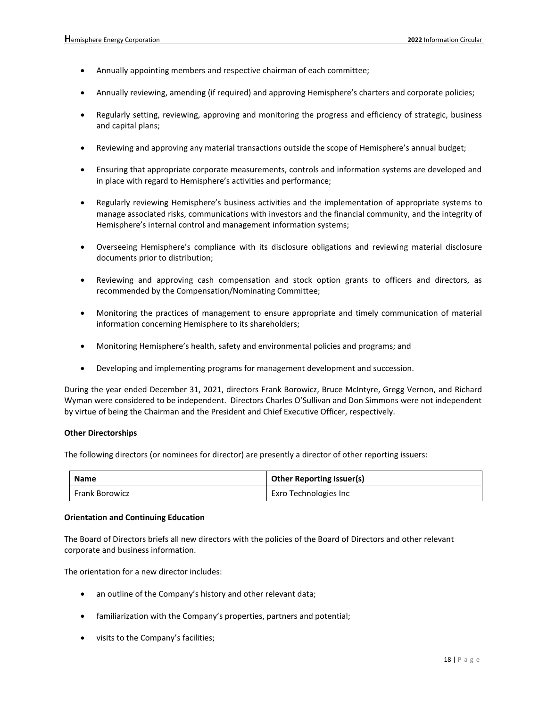- Annually appointing members and respective chairman of each committee;
- Annually reviewing, amending (if required) and approving Hemisphere's charters and corporate policies;
- Regularly setting, reviewing, approving and monitoring the progress and efficiency of strategic, business and capital plans;
- Reviewing and approving any material transactions outside the scope of Hemisphere's annual budget;
- Ensuring that appropriate corporate measurements, controls and information systems are developed and in place with regard to Hemisphere's activities and performance;
- Regularly reviewing Hemisphere's business activities and the implementation of appropriate systems to manage associated risks, communications with investors and the financial community, and the integrity of Hemisphere's internal control and management information systems;
- Overseeing Hemisphere's compliance with its disclosure obligations and reviewing material disclosure documents prior to distribution;
- Reviewing and approving cash compensation and stock option grants to officers and directors, as recommended by the Compensation/Nominating Committee;
- Monitoring the practices of management to ensure appropriate and timely communication of material information concerning Hemisphere to its shareholders;
- Monitoring Hemisphere's health, safety and environmental policies and programs; and
- Developing and implementing programs for management development and succession.

During the year ended December 31, 2021, directors Frank Borowicz, Bruce McIntyre, Gregg Vernon, and Richard Wyman were considered to be independent. Directors Charles O'Sullivan and Don Simmons were not independent by virtue of being the Chairman and the President and Chief Executive Officer, respectively.

#### **Other Directorships**

The following directors (or nominees for director) are presently a director of other reporting issuers:

| <b>Name</b>           | <b>Other Reporting Issuer(s)</b> |  |
|-----------------------|----------------------------------|--|
| <b>Frank Borowicz</b> | Exro Technologies Inc            |  |

#### **Orientation and Continuing Education**

The Board of Directors briefs all new directors with the policies of the Board of Directors and other relevant corporate and business information.

The orientation for a new director includes:

- an outline of the Company's history and other relevant data;
- familiarization with the Company's properties, partners and potential;
- visits to the Company's facilities;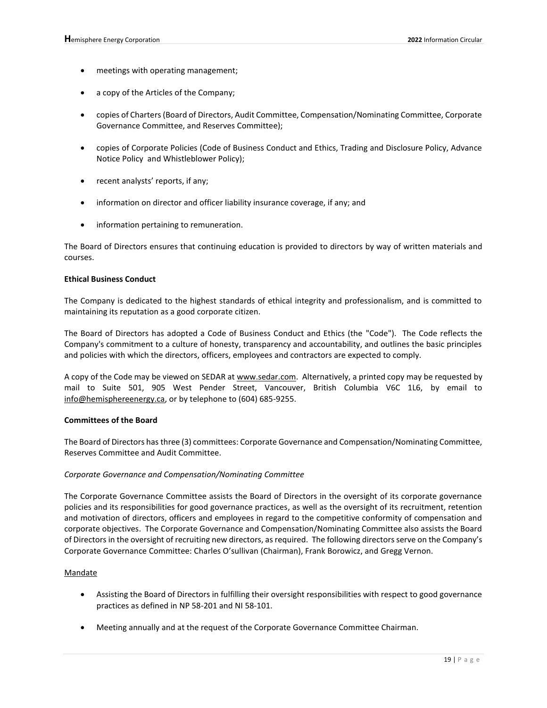- meetings with operating management;
- a copy of the Articles of the Company;
- copies of Charters (Board of Directors, Audit Committee, Compensation/Nominating Committee, Corporate Governance Committee, and Reserves Committee);
- copies of Corporate Policies (Code of Business Conduct and Ethics, Trading and Disclosure Policy, Advance Notice Policy and Whistleblower Policy);
- recent analysts' reports, if any;
- information on director and officer liability insurance coverage, if any; and
- information pertaining to remuneration.

The Board of Directors ensures that continuing education is provided to directors by way of written materials and courses.

### **Ethical Business Conduct**

The Company is dedicated to the highest standards of ethical integrity and professionalism, and is committed to maintaining its reputation as a good corporate citizen.

The Board of Directors has adopted a Code of Business Conduct and Ethics (the "Code"). The Code reflects the Company's commitment to a culture of honesty, transparency and accountability, and outlines the basic principles and policies with which the directors, officers, employees and contractors are expected to comply.

A copy of the Code may be viewed on SEDAR at www.sedar.com. Alternatively, a printed copy may be requested by mail to Suite 501, 905 West Pender Street, Vancouver, British Columbia V6C 1L6, by email to info@hemisphereenergy.ca, or by telephone to (604) 685-9255.

#### **Committees of the Board**

The Board of Directors has three (3) committees: Corporate Governance and Compensation/Nominating Committee, Reserves Committee and Audit Committee.

#### *Corporate Governance and Compensation/Nominating Committee*

The Corporate Governance Committee assists the Board of Directors in the oversight of its corporate governance policies and its responsibilities for good governance practices, as well as the oversight of its recruitment, retention and motivation of directors, officers and employees in regard to the competitive conformity of compensation and corporate objectives. The Corporate Governance and Compensation/Nominating Committee also assists the Board of Directors in the oversight of recruiting new directors, as required. The following directors serve on the Company's Corporate Governance Committee: Charles O'sullivan (Chairman), Frank Borowicz, and Gregg Vernon.

#### Mandate

- Assisting the Board of Directors in fulfilling their oversight responsibilities with respect to good governance practices as defined in NP 58-201 and NI 58-101.
- Meeting annually and at the request of the Corporate Governance Committee Chairman.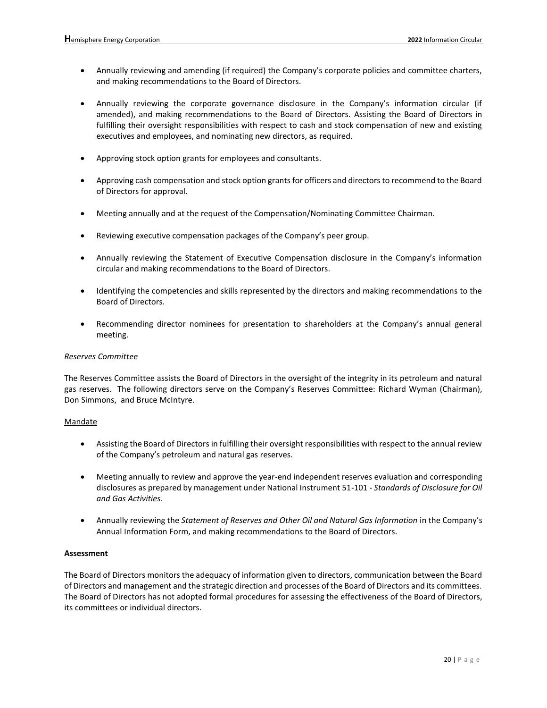- Annually reviewing and amending (if required) the Company's corporate policies and committee charters, and making recommendations to the Board of Directors.
- Annually reviewing the corporate governance disclosure in the Company's information circular (if amended), and making recommendations to the Board of Directors. Assisting the Board of Directors in fulfilling their oversight responsibilities with respect to cash and stock compensation of new and existing executives and employees, and nominating new directors, as required.
- Approving stock option grants for employees and consultants.
- Approving cash compensation and stock option grants for officers and directors to recommend to the Board of Directors for approval.
- Meeting annually and at the request of the Compensation/Nominating Committee Chairman.
- Reviewing executive compensation packages of the Company's peer group.
- Annually reviewing the Statement of Executive Compensation disclosure in the Company's information circular and making recommendations to the Board of Directors.
- Identifying the competencies and skills represented by the directors and making recommendations to the Board of Directors.
- Recommending director nominees for presentation to shareholders at the Company's annual general meeting.

### *Reserves Committee*

The Reserves Committee assists the Board of Directors in the oversight of the integrity in its petroleum and natural gas reserves. The following directors serve on the Company's Reserves Committee: Richard Wyman (Chairman), Don Simmons, and Bruce McIntyre.

## Mandate

- Assisting the Board of Directors in fulfilling their oversight responsibilities with respect to the annual review of the Company's petroleum and natural gas reserves.
- Meeting annually to review and approve the year-end independent reserves evaluation and corresponding disclosures as prepared by management under National Instrument 51-101 - *Standards of Disclosure for Oil and Gas Activities*.
- Annually reviewing the *Statement of Reserves and Other Oil and Natural Gas Information* in the Company's Annual Information Form, and making recommendations to the Board of Directors.

## **Assessment**

The Board of Directors monitors the adequacy of information given to directors, communication between the Board of Directors and management and the strategic direction and processes of the Board of Directors and its committees. The Board of Directors has not adopted formal procedures for assessing the effectiveness of the Board of Directors, its committees or individual directors.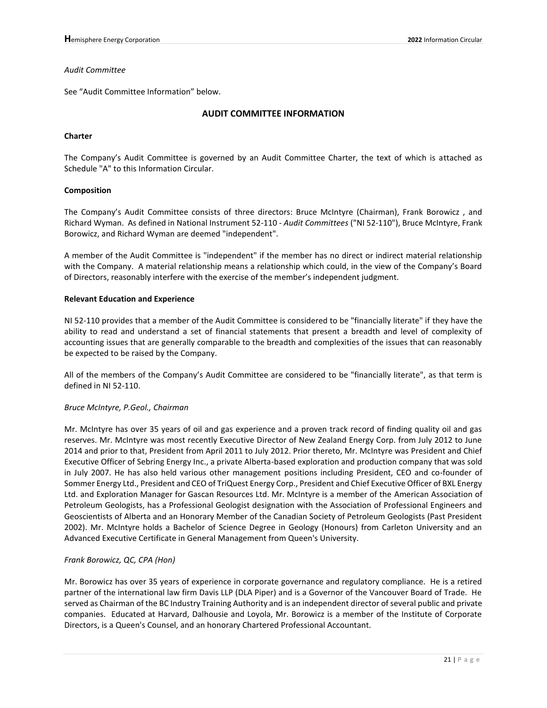#### *Audit Committee*

See "Audit Committee Information" below.

## **AUDIT COMMITTEE INFORMATION**

### **Charter**

The Company's Audit Committee is governed by an Audit Committee Charter, the text of which is attached as Schedule "A" to this Information Circular.

#### **Composition**

The Company's Audit Committee consists of three directors: Bruce McIntyre (Chairman), Frank Borowicz , and Richard Wyman. As defined in National Instrument 52-110 - *Audit Committees* ("NI 52-110"), Bruce McIntyre, Frank Borowicz, and Richard Wyman are deemed "independent".

A member of the Audit Committee is "independent" if the member has no direct or indirect material relationship with the Company. A material relationship means a relationship which could, in the view of the Company's Board of Directors, reasonably interfere with the exercise of the member's independent judgment.

#### **Relevant Education and Experience**

NI 52-110 provides that a member of the Audit Committee is considered to be "financially literate" if they have the ability to read and understand a set of financial statements that present a breadth and level of complexity of accounting issues that are generally comparable to the breadth and complexities of the issues that can reasonably be expected to be raised by the Company.

All of the members of the Company's Audit Committee are considered to be "financially literate", as that term is defined in NI 52-110.

#### *Bruce McIntyre, P.Geol., Chairman*

Mr. McIntyre has over 35 years of oil and gas experience and a proven track record of finding quality oil and gas reserves. Mr. McIntyre was most recently Executive Director of New Zealand Energy Corp. from July 2012 to June 2014 and prior to that, President from April 2011 to July 2012. Prior thereto, Mr. McIntyre was President and Chief Executive Officer of Sebring Energy Inc., a private Alberta-based exploration and production company that was sold in July 2007. He has also held various other management positions including President, CEO and co-founder of Sommer Energy Ltd., President and CEO of TriQuest Energy Corp., President and Chief Executive Officer of BXL Energy Ltd. and Exploration Manager for Gascan Resources Ltd. Mr. McIntyre is a member of the American Association of Petroleum Geologists, has a Professional Geologist designation with the Association of Professional Engineers and Geoscientists of Alberta and an Honorary Member of the Canadian Society of Petroleum Geologists (Past President 2002). Mr. McIntyre holds a Bachelor of Science Degree in Geology (Honours) from Carleton University and an Advanced Executive Certificate in General Management from Queen's University.

#### *Frank Borowicz, QC, CPA (Hon)*

Mr. Borowicz has over 35 years of experience in corporate governance and regulatory compliance. He is a retired partner of the international law firm Davis LLP (DLA Piper) and is a Governor of the Vancouver Board of Trade. He served as Chairman of the BC Industry Training Authority and is an independent director of several public and private companies. Educated at Harvard, Dalhousie and Loyola, Mr. Borowicz is a member of the Institute of Corporate Directors, is a Queen's Counsel, and an honorary Chartered Professional Accountant.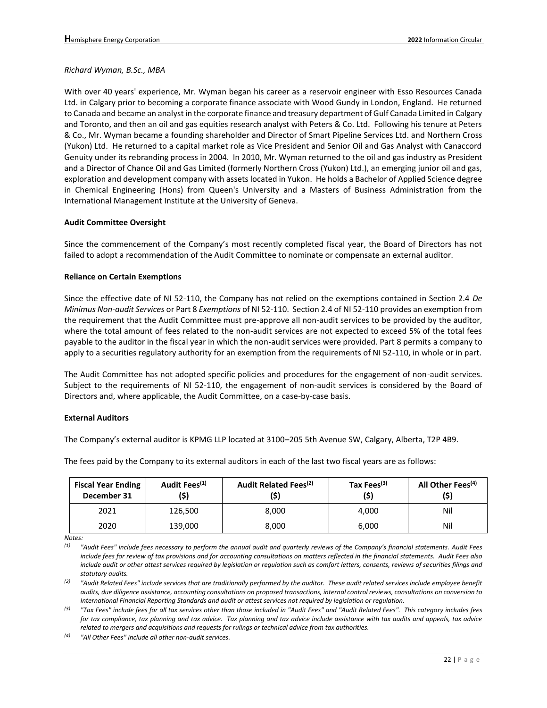#### *Richard Wyman, B.Sc., MBA*

With over 40 years' experience, Mr. Wyman began his career as a reservoir engineer with Esso Resources Canada Ltd. in Calgary prior to becoming a corporate finance associate with Wood Gundy in London, England. He returned to Canada and became an analyst in the corporate finance and treasury department of Gulf Canada Limited in Calgary and Toronto, and then an oil and gas equities research analyst with Peters & Co. Ltd. Following his tenure at Peters & Co., Mr. Wyman became a founding shareholder and Director of Smart Pipeline Services Ltd. and Northern Cross (Yukon) Ltd. He returned to a capital market role as Vice President and Senior Oil and Gas Analyst with Canaccord Genuity under its rebranding process in 2004. In 2010, Mr. Wyman returned to the oil and gas industry as President and a Director of Chance Oil and Gas Limited (formerly Northern Cross (Yukon) Ltd.), an emerging junior oil and gas, exploration and development company with assets located in Yukon. He holds a Bachelor of Applied Science degree in Chemical Engineering (Hons) from Queen's University and a Masters of Business Administration from the International Management Institute at the University of Geneva.

#### **Audit Committee Oversight**

Since the commencement of the Company's most recently completed fiscal year, the Board of Directors has not failed to adopt a recommendation of the Audit Committee to nominate or compensate an external auditor.

#### **Reliance on Certain Exemptions**

Since the effective date of NI 52-110, the Company has not relied on the exemptions contained in Section 2.4 *De Minimus Non-audit Services* or Part 8 *Exemptions* of NI 52-110. Section 2.4 of NI 52-110 provides an exemption from the requirement that the Audit Committee must pre-approve all non-audit services to be provided by the auditor, where the total amount of fees related to the non-audit services are not expected to exceed 5% of the total fees payable to the auditor in the fiscal year in which the non-audit services were provided. Part 8 permits a company to apply to a securities regulatory authority for an exemption from the requirements of NI 52-110, in whole or in part.

The Audit Committee has not adopted specific policies and procedures for the engagement of non-audit services. Subject to the requirements of NI 52-110, the engagement of non-audit services is considered by the Board of Directors and, where applicable, the Audit Committee, on a case-by-case basis.

#### **External Auditors**

The Company's external auditor is KPMG LLP located at 3100–205 5th Avenue SW, Calgary, Alberta, T2P 4B9.

The fees paid by the Company to its external auditors in each of the last two fiscal years are as follows:

| <b>Fiscal Year Ending</b><br>December 31 | Audit Fees <sup>(1)</sup><br>(\$) | Audit Related Fees <sup>(2)</sup> | Tax Fees <sup>(3)</sup><br>(\$) | All Other Fees <sup>(4)</sup><br>(\$) |
|------------------------------------------|-----------------------------------|-----------------------------------|---------------------------------|---------------------------------------|
| 2021                                     | 126,500                           | 8.000                             | 4.000                           | Nil                                   |
| 2020                                     | 139,000                           | 8,000                             | 6,000                           | Nil                                   |

*Notes:*

*(1) "Audit Fees" include fees necessary to perform the annual audit and quarterly reviews of the Company's financial statements. Audit Fees include fees for review of tax provisions and for accounting consultations on matters reflected in the financial statements. Audit Fees also include audit or other attest services required by legislation or regulation such as comfort letters, consents, reviews of securities filings and statutory audits.* 

*(2) "Audit Related Fees" include services that are traditionally performed by the auditor. These audit related services include employee benefit audits, due diligence assistance, accounting consultations on proposed transactions, internal control reviews, consultations on conversion to International Financial Reporting Standards and audit or attest services not required by legislation or regulation.* 

*(3) "Tax Fees" include fees for all tax services other than those included in "Audit Fees" and "Audit Related Fees". This category includes fees for tax compliance, tax planning and tax advice. Tax planning and tax advice include assistance with tax audits and appeals, tax advice related to mergers and acquisitions and requests for rulings or technical advice from tax authorities.*

*(4) "All Other Fees" include all other non-audit services.*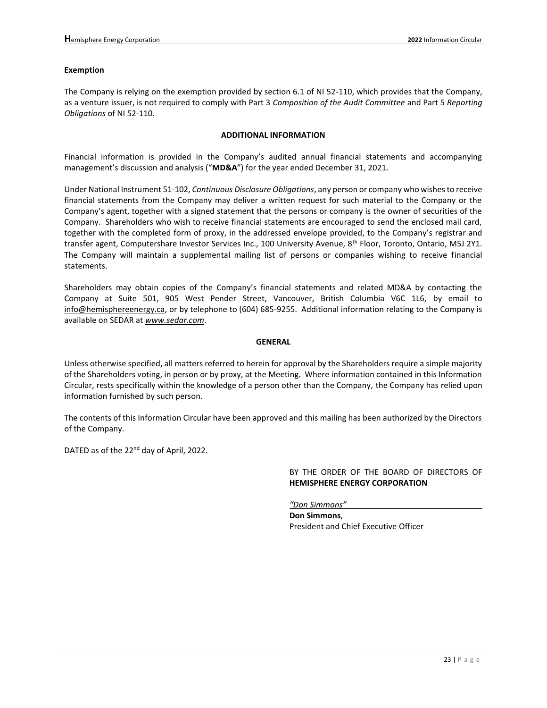#### **Exemption**

The Company is relying on the exemption provided by section 6.1 of NI 52-110, which provides that the Company, as a venture issuer, is not required to comply with Part 3 *Composition of the Audit Committee* and Part 5 *Reporting Obligations* of NI 52-110.

#### **ADDITIONAL INFORMATION**

Financial information is provided in the Company's audited annual financial statements and accompanying management's discussion and analysis ("**MD&A**") for the year ended December 31, 2021.

Under National Instrument 51-102, *Continuous Disclosure Obligations*, any person or company who wishes to receive financial statements from the Company may deliver a written request for such material to the Company or the Company's agent, together with a signed statement that the persons or company is the owner of securities of the Company. Shareholders who wish to receive financial statements are encouraged to send the enclosed mail card, together with the completed form of proxy, in the addressed envelope provided, to the Company's registrar and transfer agent, Computershare Investor Services Inc., 100 University Avenue, 8<sup>th</sup> Floor, Toronto, Ontario, M5J 2Y1. The Company will maintain a supplemental mailing list of persons or companies wishing to receive financial statements.

Shareholders may obtain copies of the Company's financial statements and related MD&A by contacting the Company at Suite 501, 905 West Pender Street, Vancouver, British Columbia V6C 1L6, by email to info@hemisphereenergy.ca, or by telephone to (604) 685-9255. Additional information relating to the Company is available on SEDAR at *[www.sedar.com](http://www.sedar.com/)*.

#### **GENERAL**

Unless otherwise specified, all matters referred to herein for approval by the Shareholders require a simple majority of the Shareholders voting, in person or by proxy, at the Meeting. Where information contained in this Information Circular, rests specifically within the knowledge of a person other than the Company, the Company has relied upon information furnished by such person.

The contents of this Information Circular have been approved and this mailing has been authorized by the Directors of the Company.

DATED as of the 22<sup>nd</sup> day of April, 2022.

BY THE ORDER OF THE BOARD OF DIRECTORS OF **HEMISPHERE ENERGY CORPORATION**

*"Don Simmons"*

**Don Simmons**, President and Chief Executive Officer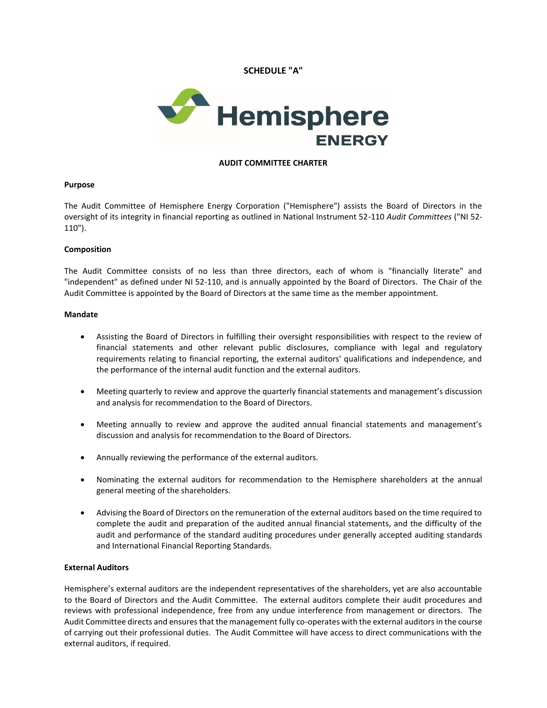**SCHEDULE "A"**



### **AUDIT COMMITTEE CHARTER**

#### **Purpose**

The Audit Committee of Hemisphere Energy Corporation ("Hemisphere") assists the Board of Directors in the oversight of its integrity in financial reporting as outlined in National Instrument 52-110 *Audit Committees* ("NI 52- 110").

#### **Composition**

The Audit Committee consists of no less than three directors, each of whom is "financially literate" and "independent" as defined under NI 52-110, and is annually appointed by the Board of Directors. The Chair of the Audit Committee is appointed by the Board of Directors at the same time as the member appointment.

### **Mandate**

- Assisting the Board of Directors in fulfilling their oversight responsibilities with respect to the review of financial statements and other relevant public disclosures, compliance with legal and regulatory requirements relating to financial reporting, the external auditors' qualifications and independence, and the performance of the internal audit function and the external auditors.
- Meeting quarterly to review and approve the quarterly financial statements and management's discussion and analysis for recommendation to the Board of Directors.
- Meeting annually to review and approve the audited annual financial statements and management's discussion and analysis for recommendation to the Board of Directors.
- Annually reviewing the performance of the external auditors.
- Nominating the external auditors for recommendation to the Hemisphere shareholders at the annual general meeting of the shareholders.
- Advising the Board of Directors on the remuneration of the external auditors based on the time required to complete the audit and preparation of the audited annual financial statements, and the difficulty of the audit and performance of the standard auditing procedures under generally accepted auditing standards and International Financial Reporting Standards.

#### **External Auditors**

Hemisphere's external auditors are the independent representatives of the shareholders, yet are also accountable to the Board of Directors and the Audit Committee. The external auditors complete their audit procedures and reviews with professional independence, free from any undue interference from management or directors. The Audit Committee directs and ensures that the management fully co-operates with the external auditors in the course of carrying out their professional duties. The Audit Committee will have access to direct communications with the external auditors, if required.